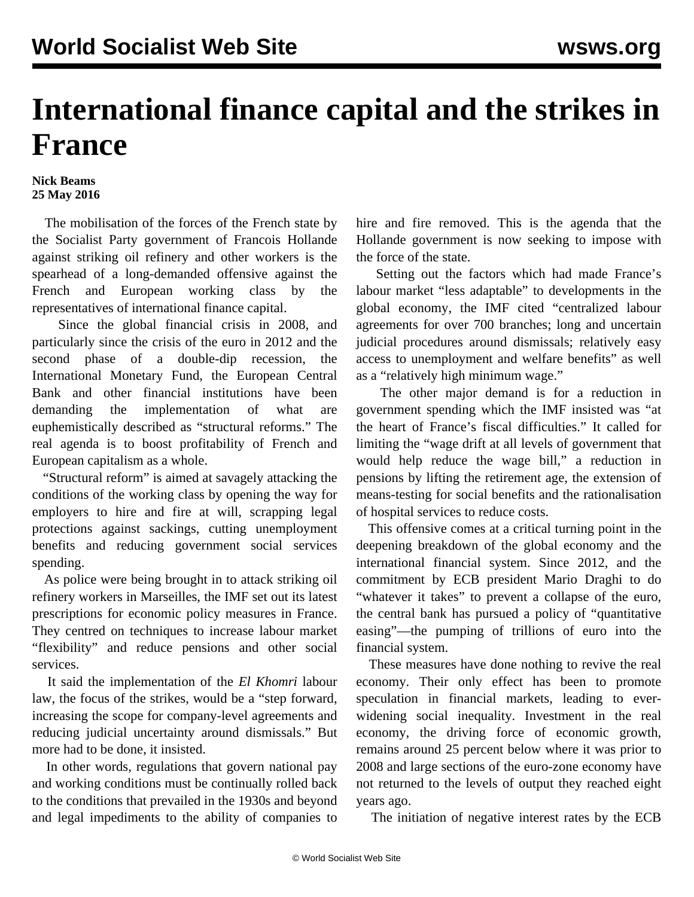## **International finance capital and the strikes in France**

## **Nick Beams 25 May 2016**

 The mobilisation of the forces of the French state by the Socialist Party government of Francois Hollande against striking oil refinery and other workers is the spearhead of a long-demanded offensive against the French and European working class by the representatives of international finance capital.

 Since the global financial crisis in 2008, and particularly since the crisis of the euro in 2012 and the second phase of a double-dip recession, the International Monetary Fund, the European Central Bank and other financial institutions have been demanding the implementation of what are euphemistically described as "structural reforms." The real agenda is to boost profitability of French and European capitalism as a whole.

 "Structural reform" is aimed at savagely attacking the conditions of the working class by opening the way for employers to hire and fire at will, scrapping legal protections against sackings, cutting unemployment benefits and reducing government social services spending.

 As police were being brought in to attack striking oil refinery workers in Marseilles, the IMF set out its latest prescriptions for economic policy measures in France. They centred on techniques to increase labour market "flexibility" and reduce pensions and other social services.

 It said the implementation of the *El Khomri* labour law, the focus of the strikes, would be a "step forward, increasing the scope for company-level agreements and reducing judicial uncertainty around dismissals." But more had to be done, it insisted.

 In other words, regulations that govern national pay and working conditions must be continually rolled back to the conditions that prevailed in the 1930s and beyond and legal impediments to the ability of companies to hire and fire removed. This is the agenda that the Hollande government is now seeking to impose with the force of the state.

 Setting out the factors which had made France's labour market "less adaptable" to developments in the global economy, the IMF cited "centralized labour agreements for over 700 branches; long and uncertain judicial procedures around dismissals; relatively easy access to unemployment and welfare benefits" as well as a "relatively high minimum wage."

 The other major demand is for a reduction in government spending which the IMF insisted was "at the heart of France's fiscal difficulties." It called for limiting the "wage drift at all levels of government that would help reduce the wage bill," a reduction in pensions by lifting the retirement age, the extension of means-testing for social benefits and the rationalisation of hospital services to reduce costs.

 This offensive comes at a critical turning point in the deepening breakdown of the global economy and the international financial system. Since 2012, and the commitment by ECB president Mario Draghi to do "whatever it takes" to prevent a collapse of the euro, the central bank has pursued a policy of "quantitative easing"—the pumping of trillions of euro into the financial system.

 These measures have done nothing to revive the real economy. Their only effect has been to promote speculation in financial markets, leading to everwidening social inequality. Investment in the real economy, the driving force of economic growth, remains around 25 percent below where it was prior to 2008 and large sections of the euro-zone economy have not returned to the levels of output they reached eight years ago.

The initiation of negative interest rates by the ECB